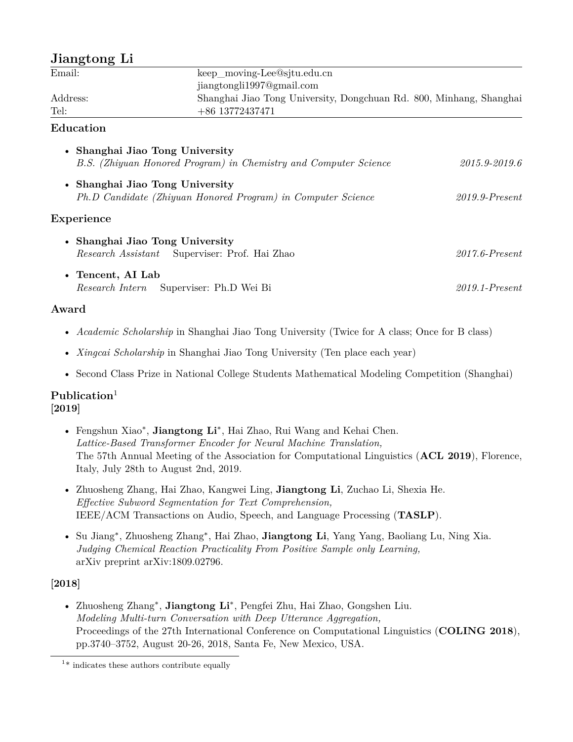# **Jiangtong Li**

| $\sum_{i=1}^{n}$                                             |                                                                     |                   |
|--------------------------------------------------------------|---------------------------------------------------------------------|-------------------|
| Email:                                                       | keep moving-Lee@sjtu.edu.cn<br>jiangtongli1997@gmail.com            |                   |
|                                                              |                                                                     |                   |
| Address:                                                     | Shanghai Jiao Tong University, Dongchuan Rd. 800, Minhang, Shanghai |                   |
| Tel:                                                         | $+86$ 13772437471                                                   |                   |
| Education                                                    |                                                                     |                   |
| Shanghai Jiao Tong University<br>$\bullet$                   | B.S. (Zhiyuan Honored Program) in Chemistry and Computer Science    | 2015.9-2019.6     |
|                                                              |                                                                     |                   |
| • Shanghai Jiao Tong University                              |                                                                     |                   |
| Ph.D Candidate (Zhiyuan Honored Program) in Computer Science |                                                                     | $2019.9$ -Present |
| Experience                                                   |                                                                     |                   |
| • Shanghai Jiao Tong University                              |                                                                     |                   |
|                                                              | <i>Research Assistant</i> Superviser: Prof. Hai Zhao                | $2017.6$ -Present |
| • Tencent, AI Lab                                            |                                                                     |                   |
| <i>Research Intern</i> Superviser: Ph.D Wei Bi               |                                                                     | $2019.1$ -Present |

## **Award**

- *Academic Scholarship* in Shanghai Jiao Tong University (Twice for A class; Once for B class)
- *Xingcai Scholarship* in Shanghai Jiao Tong University (Ten place each year)
- Second Class Prize in National College Students Mathematical Modeling Competition (Shanghai)

### **Publication**<sup>1</sup> **[2019]**

- Fengshun Xiao*∗* , **Jiangtong Li***∗* , Hai Zhao, Rui Wang and Kehai Chen. *Lattice-Based Transformer Encoder for Neural Machine Translation,* The 57th Annual Meeting of the Association for Computational Linguistics (**ACL 2019**), Florence, Italy, July 28th to August 2nd, 2019.
- Zhuosheng Zhang, Hai Zhao, Kangwei Ling, **Jiangtong Li**, Zuchao Li, Shexia He. *Effective Subword Segmentation for Text Comprehension,* IEEE/ACM Transactions on Audio, Speech, and Language Processing (**TASLP**).
- Su Jiang*∗* , Zhuosheng Zhang*∗* , Hai Zhao, **Jiangtong Li**, Yang Yang, Baoliang Lu, Ning Xia. *Judging Chemical Reaction Practicality From Positive Sample only Learning,* arXiv preprint arXiv:1809.02796.

## **[2018]**

• Zhuosheng Zhang*∗* , **Jiangtong Li***∗* , Pengfei Zhu, Hai Zhao, Gongshen Liu. *Modeling Multi-turn Conversation with Deep Utterance Aggregation,* Proceedings of the 27th International Conference on Computational Linguistics (**COLING 2018**), pp.3740–3752, August 20-26, 2018, Santa Fe, New Mexico, USA.

<sup>&</sup>lt;sup>1\*</sup> indicates these authors contribute equally